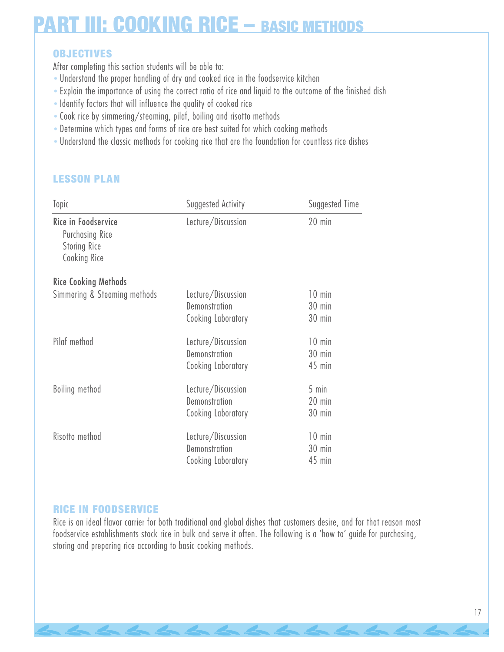### **OBJECTIVES**

After completing this section students will be able to:

- *•* Understand the proper handling of dry and cooked rice in the foodservice kitchen
- *•* Explain the importance of using the correct ratio of rice and liquid to the outcome of the finished dish
- *•* Identify factors that will influence the quality of cooked rice
- *•* Cook rice by simmering/steaming, pilaf, boiling and risotto methods
- *•* Determine which types and forms of rice are best suited for which cooking methods
- *•* Understand the classic methods for cooking rice that are the foundation for countless rice dishes

# **LESSON PLAN**

| Topic                                                                         | Suggested Activity | Suggested Time  |
|-------------------------------------------------------------------------------|--------------------|-----------------|
| Rice in Foodservice<br>Purchasing Rice<br><b>Storing Rice</b><br>Cooking Rice | Lecture/Discussion | 20 min          |
| <b>Rice Cooking Methods</b>                                                   |                    |                 |
| Simmering & Steaming methods                                                  | Lecture/Discussion | $10$ min        |
|                                                                               | Demonstration      | 30 min          |
|                                                                               | Cooking Laboratory | 30 min          |
| Pilaf method                                                                  | Lecture/Discussion | $10$ min        |
|                                                                               | Demonstration      | 30 min          |
|                                                                               | Cooking Laboratory | 45 min          |
| Boiling method                                                                | Lecture/Discussion | $5 \text{ min}$ |
|                                                                               | Demonstration      | $20$ min        |
|                                                                               | Cooking Laboratory | 30 min          |
| Risotto method                                                                | Lecture/Discussion | $10$ min        |
|                                                                               | Demonstration      | 30 min          |
|                                                                               | Cooking Laboratory | 45 min          |
|                                                                               |                    |                 |

#### **RICE IN FOODSERVICE**

Rice is an ideal flavor carrier for both traditional and global dishes that customers desire, and for that reason most foodservice establishments stock rice in bulk and serve it often. The following is a 'how to' guide for purchasing, storing and preparing rice according to basic cooking methods.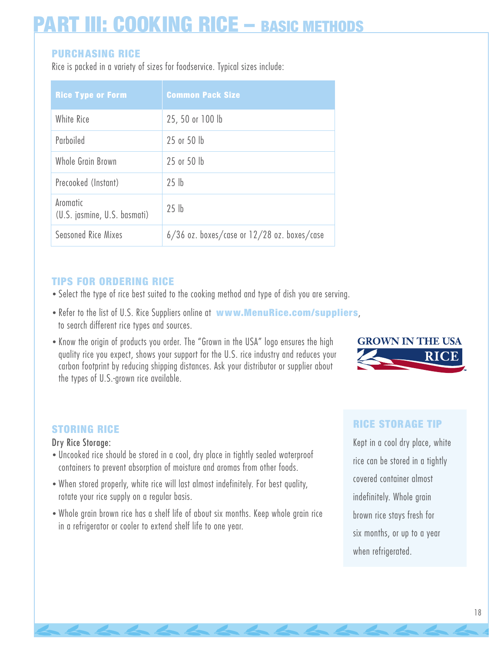### **PURCHASING RICE**

Rice is packed in a variety of sizes for foodservice. Typical sizes include:

| <b>Rice Type or Form</b>                 | <b>Common Pack Size</b>                         |
|------------------------------------------|-------------------------------------------------|
| White Rice                               | 25, 50 or 100 lb                                |
| Parboiled                                | 25 or 50 lb                                     |
| Whole Grain Brown                        | 25 or 50 lb                                     |
| Precooked (Instant)                      | 25 <sub>th</sub>                                |
| Aromatic<br>(U.S. jasmine, U.S. basmati) | 25 <sub>th</sub>                                |
| Seasoned Rice Mixes                      | $6/36$ oz. boxes/case or $12/28$ oz. boxes/case |

### **TIPS FOR ORDERING RICE**

- *•* Select the type of rice best suited to the cooking method and type of dish you are serving.
- *•* Refer to the list of U.S. Rice Suppliers online at **www.MenuRice.com/suppliers**, to search different rice types and sources.
- *•* Know the origin of products you order. The "Grown in the USA" logo ensures the high quality rice you expect, shows your support for the U.S. rice industry and reduces your carbon footprint by reducing shipping distances. Ask your distributor or supplier about the types of U.S.-grown rice available.



### **STORING RICE**

Dry Rice Storage:

- *•* Uncooked rice should be stored in a cool, dry place in tightly sealed waterproof containers to prevent absorption of moisture and aromas from other foods.
- *•* When stored properly, white rice will last almost indefinitely. For best quality, rotate your rice supply on a regular basis.
- *•* Whole grain brown rice has a shelf life of about six months. Keep whole grain rice in a refrigerator or cooler to extend shelf life to one year.

# **RICE STORAGE TIP**

Kept in a cool dry place, white rice can be stored in a tightly covered container almost indefinitely. Whole grain brown rice stays fresh for six months, or up to a year when refrigerated.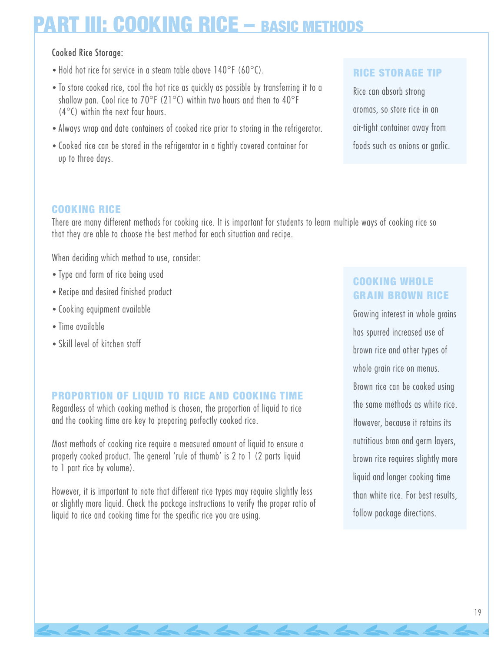### Cooked Rice Storage:

- *•* Hold hot rice for service in a steam table above 140°F (60°C).
- *•* To store cooked rice, cool the hot rice as quickly as possible by transferring it to a shallow pan. Cool rice to 70°F (21°C) within two hours and then to 40°F (4°C) within the next four hours.
- *•* Always wrap and date containers of cooked rice prior to storing in the refrigerator.
- *•* Cooked rice can be stored in the refrigerator in a tightly covered container for up to three days.

### **RICE STORAGE TIP**

Rice can absorb strong aromas, so store rice in an air-tight container away from foods such as onions or garlic.

### **COOKING RICE**

There are many different methods for cooking rice. It is important for students to learn multiple ways of cooking rice so that they are able to choose the best method for each situation and recipe.

When deciding which method to use, consider:

- *•* Type and form of rice being used
- *•* Recipe and desired finished product
- *•* Cooking equipment available
- *•* Time available
- *•* Skill level of kitchen staff

### **PROPORTION OF LIQUID TO RICE AND COOKING TIME**

Regardless of which cooking method is chosen, the proportion of liquid to rice and the cooking time are key to preparing perfectly cooked rice.

Most methods of cooking rice require a measured amount of liquid to ensure a properly cooked product. The general 'rule of thumb' is 2 to 1 (2 parts liquid to 1 part rice by volume).

However, it is important to note that different rice types may require slightly less or slightly more liquid. Check the package instructions to verify the proper ratio of liquid to rice and cooking time for the specific rice you are using.

# **COOKING WHOLE GRAIN BROWN RICE**

Growing interest in whole grains has spurred increased use of brown rice and other types of whole grain rice on menus. Brown rice can be cooked using the same methods as white rice. However, because it retains its nutritious bran and germ layers, brown rice requires slightly more liquid and longer cooking time than white rice. For best results, follow package directions.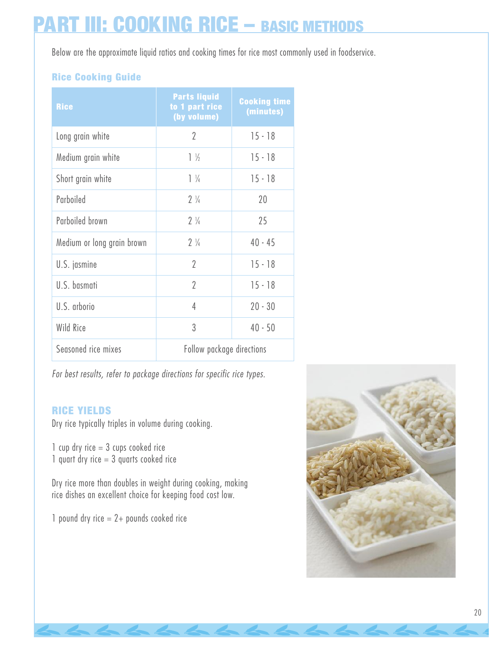Below are the approximate liquid ratios and cooking times for rice most commonly used in foodservice.

# **Rice Cooking Guide**

| <b>Rice</b>                | <b>Parts liquid</b><br>to 1 part rice<br>(by volume) | <b>Cooking time</b><br>(minutes) |
|----------------------------|------------------------------------------------------|----------------------------------|
| Long grain white           | $\gamma$                                             | $15 - 18$                        |
| Medium grain white         | $1\frac{1}{2}$                                       | $15 - 18$                        |
| Short grain white          | $1\frac{1}{4}$                                       | $15 - 18$                        |
| Parboiled                  | $2\frac{1}{4}$                                       | 20                               |
| Parboiled brown            | $2\frac{1}{4}$                                       | 25                               |
| Medium or long grain brown | $2\frac{1}{4}$                                       | $40 - 45$                        |
| U.S. jasmine               | $\overline{2}$                                       | $15 - 18$                        |
| U.S. basmati               | $\overline{2}$                                       | $15 - 18$                        |
| U.S. arborio               | 4                                                    | $20 - 30$                        |
| Wild Rice                  | 3                                                    | $40 - 50$                        |
| Seasoned rice mixes        | Follow package directions                            |                                  |

*For best results, refer to package directions for specific rice types.*

### **RICE YIELDS**

Dry rice typically triples in volume during cooking.

1 cup dry rice = 3 cups cooked rice 1 quart dry rice  $= 3$  quarts cooked rice

Dry rice more than doubles in weight during cooking, making rice dishes an excellent choice for keeping food cost low.

1 pound dry rice  $= 2 +$  pounds cooked rice

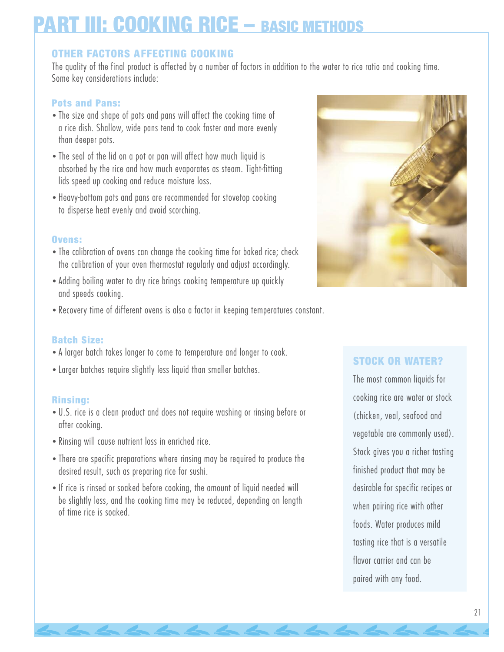### **OTHER FACTORS AFFECTING COOKING**

The quality of the final product is affected by a number of factors in addition to the water to rice ratio and cooking time. Some key considerations include:

#### **Pots and Pans:**

- *•* The size and shape of pots and pans will affect the cooking time of a rice dish. Shallow, wide pans tend to cook faster and more evenly than deeper pots.
- *•* The seal of the lid on a pot or pan will affect how much liquid is absorbed by the rice and how much evaporates as steam. Tight-fitting lids speed up cooking and reduce moisture loss.
- *•* Heavy-bottom pots and pans are recommended for stovetop cooking to disperse heat evenly and avoid scorching.

#### **Ovens:**

- *•* The calibration of ovens can change the cooking time for baked rice; check the calibration of your oven thermostat regularly and adjust accordingly.
- *•* Adding boiling water to dry rice brings cooking temperature up quickly and speeds cooking.



*•* Recovery time of different ovens is also a factor in keeping temperatures constant.

#### **Batch Size:**

- *•* A larger batch takes longer to come to temperature and longer to cook.
- *•* Larger batches require slightly less liquid than smaller batches.

#### **Rinsing:**

- *•* U.S. rice is a clean product and does not require washing or rinsing before or after cooking.
- *•* Rinsing will cause nutrient loss in enriched rice.
- *•* There are specific preparations where rinsing may be required to produce the desired result, such as preparing rice for sushi.
- *•* If rice is rinsed or soaked before cooking, the amount of liquid needed will be slightly less, and the cooking time may be reduced, depending on length of time rice is soaked.

#### **STOCK OR WATER?**

The most common liquids for cooking rice are water or stock (chicken, veal, seafood and vegetable are commonly used). Stock gives you a richer tasting finished product that may be desirable for specific recipes or when pairing rice with other foods. Water produces mild tasting rice that is a versatile flavor carrier and can be paired with any food.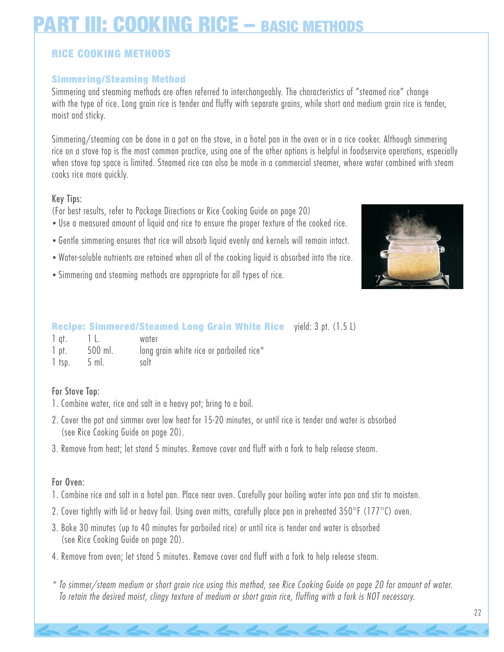# **RICE COOKING METHODS**

#### **Simmering/Steaming Method**

Simmering and steaming methods are often referred to interchangeably. The characteristics of "steamed rice" change with the type of rice. Long grain rice is tender and fluffy with separate grains, while short and medium grain rice is tender, moist and sticky.

Simmering/steaming can be done in a pot on the stove, in a hotel pan in the oven or in a rice cooker. Although simmering rice on a stove top is the most common practice, using one of the other options is helpful in foodservice operations, especially when stove top space is limited. Steamed rice can also be made in a commercial steamer, where water combined with steam cooks rice more quickly.

### Key Tips:

(For best results, refer to Package Directions or Rice Cooking Guide on page 20)

- *•* Use a measured amount of liquid and rice to ensure the proper texture of the cooked rice.
- *•* Gentle simmering ensures that rice will absorb liquid evenly and kernels will remain intact.
- *•* Water-soluble nutrients are retained when all of the cooking liquid is absorbed into the rice.
- *•* Simmering and steaming methods are appropriate for all types of rice.



# **Recipe: Simmered/Steamed Long Grain White Rice** yield: 3 pt. (1.5 L)

| $1$ qt.            | $\perp$ . | water                                    |
|--------------------|-----------|------------------------------------------|
| $1$ pt.            | 500 ml.   | long grain white rice or parboiled rice* |
| $\frac{1}{2}$ tsp. | 5 ml.     | salt                                     |

### For Stove Top:

- 1. Combine water, rice and salt in a heavy pot; bring to a boil.
- 2. Cover the pot and simmer over low heat for 15-20 minutes, or until rice is tender and water is absorbed (see Rice Cooking Guide on page 20).
- 3. Remove from heat; let stand 5 minutes. Remove cover and fluff with a fork to help release steam.

### For Oven:

- 1. Combine rice and salt in a hotel pan. Place near oven. Carefully pour boiling water into pan and stir to moisten.
- 2. Cover tightly with lid or heavy foil. Using oven mitts, carefully place pan in preheated 350°F (177°C) oven.
- 3. Bake 30 minutes (up to 40 minutes for parboiled rice) or until rice is tender and water is absorbed (see Rice Cooking Guide on page 20).
- 4. Remove from oven; let stand 5 minutes. Remove cover and fluff with a fork to help release steam.
- \* To simmer/steam medium or short grain rice using this method, see Rice Cooking Guide on page 20 for amount of water. To retain the desired moist, clingy texture of medium or short grain rice, fluffing with a fork is NOT necessary.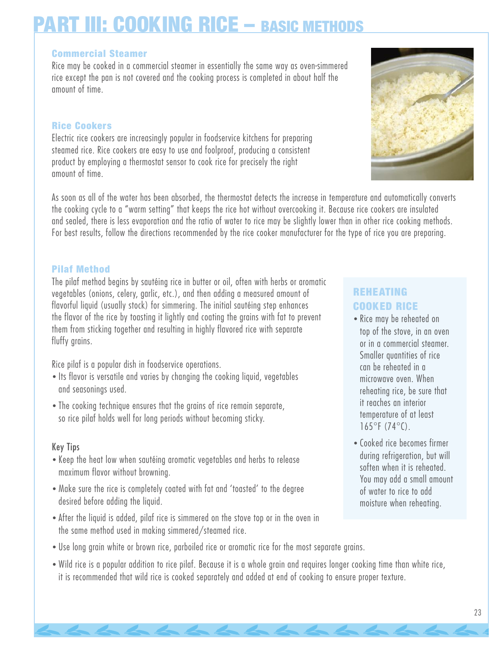#### **Commercial Steamer**

Rice may be cooked in a commercial steamer in essentially the same way as oven-simmered rice except the pan is not covered and the cooking process is completed in about half the amount of time.

#### **Rice Cookers**

Electric rice cookers are increasingly popular in foodservice kitchens for preparing steamed rice. Rice cookers are easy to use and foolproof, producing a consistent product by employing a thermostat sensor to cook rice for precisely the right amount of time.

As soon as all of the water has been absorbed, the thermostat detects the increase in temperature and automatically converts the cooking cycle to a "warm setting" that keeps the rice hot without overcooking it. Because rice cookers are insulated and sealed, there is less evaporation and the ratio of water to rice may be slightly lower than in other rice cooking methods. For best results, follow the directions recommended by the rice cooker manufacturer for the type of rice you are preparing.

#### **Pilaf Method**

The pilaf method begins by sautéing rice in butter or oil, often with herbs or aromatic vegetables (onions, celery, garlic, etc.), and then adding a measured amount of flavorful liquid (usually stock) for simmering. The initial sautéing step enhances the flavor of the rice by toasting it lightly and coating the grains with fat to prevent them from sticking together and resulting in highly flavored rice with separate fluffy grains.

Rice pilaf is a popular dish in foodservice operations.

- *•* Its flavor is versatile and varies by changing the cooking liquid, vegetables and seasonings used.
- *•* The cooking technique ensures that the grains of rice remain separate, so rice pilaf holds well for long periods without becoming sticky.

### Key Tips

- *•* Keep the heat low when sautéing aromatic vegetables and herbs to release maximum flavor without browning.
- *•* Make sure the rice is completely coated with fat and 'toasted' to the degree desired before adding the liquid.
- *•* After the liquid is added, pilaf rice is simmered on the stove top or in the oven in the same method used in making simmered/steamed rice.

### *•* Use long grain white or brown rice, parboiled rice or aromatic rice for the most separate grains.

*•* Wild rice is a popular addition to rice pilaf. Because it is a whole grain and requires longer cooking time than white rice, it is recommended that wild rice is cooked separately and added at end of cooking to ensure proper texture.

# **REHEATING COOKED RICE**

- *•* Rice may be reheated on top of the stove, in an oven or in a commercial steamer. Smaller quantities of rice can be reheated in a microwave oven. When reheating rice, be sure that it reaches an interior temperature of at least 165°F (74°C).
- *•* Cooked rice becomes firmer during refrigeration, but will soften when it is reheated. You may add a small amount of water to rice to add moisture when reheating.



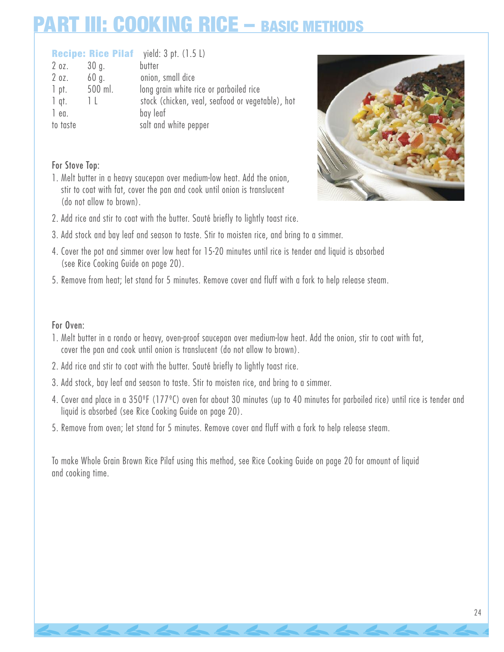|          |         | <b>Recipe: Rice Pilaf</b> yield: 3 pt. (1.5 L)   |
|----------|---------|--------------------------------------------------|
| 2 oz.    | 30q.    | butter                                           |
| 2 oz.    | 60 g.   | onion, small dice                                |
| 1 pt.    | 500 ml. | long grain white rice or parboiled rice          |
| $1$ qt.  | 1 L     | stock (chicken, veal, seafood or vegetable), hot |
| 1 ea.    |         | bay leaf                                         |
| to taste |         | salt and white pepper                            |



### For Stove Top:

- 1. Melt butter in a heavy saucepan over medium-low heat. Add the onion, stir to coat with fat, cover the pan and cook until onion is translucent (do not allow to brown).
- 2. Add rice and stir to coat with the butter. Sauté briefly to lightly toast rice.
- 3. Add stock and bay leaf and season to taste. Stir to moisten rice, and bring to a simmer.
- 4. Cover the pot and simmer over low heat for 15-20 minutes until rice is tender and liquid is absorbed (see Rice Cooking Guide on page 20).
- 5. Remove from heat; let stand for 5 minutes. Remove cover and fluff with a fork to help release steam.

#### For Oven:

- 1. Melt butter in a rondo or heavy, oven-proof saucepan over medium-low heat. Add the onion, stir to coat with fat, cover the pan and cook until onion is translucent (do not allow to brown).
- 2. Add rice and stir to coat with the butter. Sauté briefly to lightly toast rice.
- 3. Add stock, bay leaf and season to taste. Stir to moisten rice, and bring to a simmer.
- 4. Cover and place in a 350ºF (177ºC) oven for about 30 minutes (up to 40 minutes for parboiled rice) until rice is tender and liquid is absorbed (see Rice Cooking Guide on page 20).
- 5. Remove from oven; let stand for 5 minutes. Remove cover and fluff with a fork to help release steam.

To make Whole Grain Brown Rice Pilaf using this method, see Rice Cooking Guide on page 20 for amount of liquid and cooking time.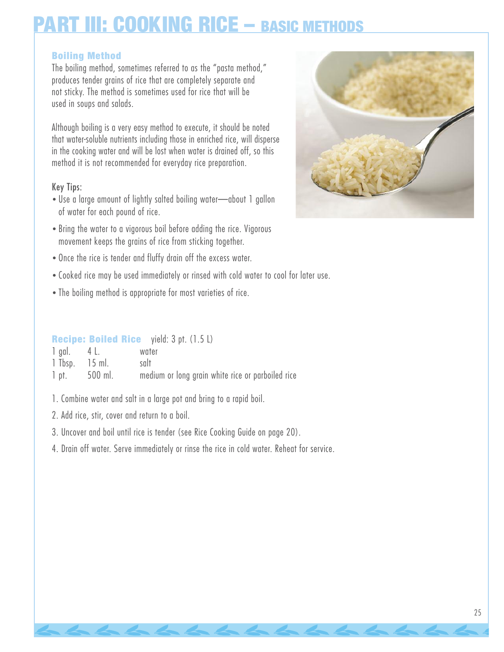# **RT III: COOKING RICE – BASIC M**

#### **Boiling Method**

The boiling method, sometimes referred to as the "pasta method," produces tender grains of rice that are completely separate and not sticky. The method is sometimes used for rice that will be used in soups and salads.

Although boiling is a very easy method to execute, it should be noted that water-soluble nutrients including those in enriched rice, will disperse in the cooking water and will be lost when water is drained off, so this method it is not recommended for everyday rice preparation.

### Key Tips:

- *•* Use a large amount of lightly salted boiling water—about 1 gallon of water for each pound of rice.
- *•* Bring the water to a vigorous boil before adding the rice. Vigorous movement keeps the grains of rice from sticking together.
- *•* Once the rice is tender and fluffy drain off the excess water.
- *•* Cooked rice may be used immediately or rinsed with cold water to cool for later use.
- *•* The boiling method is appropriate for most varieties of rice.

### **Recipe: Boiled Rice** yield: 3 pt. (1.5 L)

| 1 gal.             | 4 L.    | water                                             |
|--------------------|---------|---------------------------------------------------|
| $1$ Tbsp. $15$ ml. |         | salt                                              |
| 1 pt.              | 500 ml. | medium or long grain white rice or parboiled rice |

- 1. Combine water and salt in a large pot and bring to a rapid boil.
- 2. Add rice, stir, cover and return to a boil.
- 3. Uncover and boil until rice is tender (see Rice Cooking Guide on page 20).
- 4. Drain off water. Serve immediately or rinse the rice in cold water. Reheat for service.

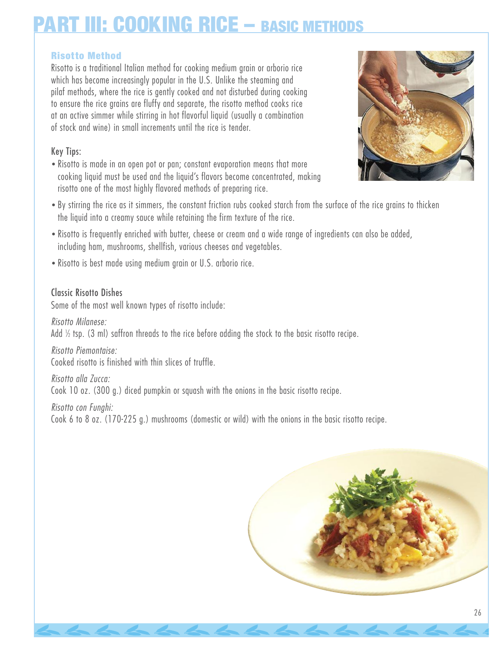### **Risotto Method**

Risotto is a traditional Italian method for cooking medium grain or arborio rice which has become increasingly popular in the U.S. Unlike the steaming and pilaf methods, where the rice is gently cooked and not disturbed during cooking to ensure the rice grains are fluffy and separate, the risotto method cooks rice at an active simmer while stirring in hot flavorful liquid (usually a combination of stock and wine) in small increments until the rice is tender.

# Key Tips:

*•* Risotto is made in an open pot or pan; constant evaporation means that more cooking liquid must be used and the liquid's flavors become concentrated, making risotto one of the most highly flavored methods of preparing rice.



- *•* By stirring the rice as it simmers, the constant friction rubs cooked starch from the surface of the rice grains to thicken the liquid into a creamy sauce while retaining the firm texture of the rice.
- *•* Risotto is frequently enriched with butter, cheese or cream and a wide range of ingredients can also be added, including ham, mushrooms, shellfish, various cheeses and vegetables.
- *•* Risotto is best made using medium grain or U.S. arborio rice.

### Classic Risotto Dishes

Some of the most well known types of risotto include:

*Risotto Milanese:* Add <sup>1</sup> ⁄2 tsp. (3 ml) saffron threads to the rice before adding the stock to the basic risotto recipe.

*Risotto Piemontaise:* Cooked risotto is finished with thin slices of truffle.

*Risotto alla Zucca:* Cook 10 oz. (300 g.) diced pumpkin or squash with the onions in the basic risotto recipe.

*Risotto con Funghi:* Cook 6 to 8 oz. (170-225 g.) mushrooms (domestic or wild) with the onions in the basic risotto recipe.

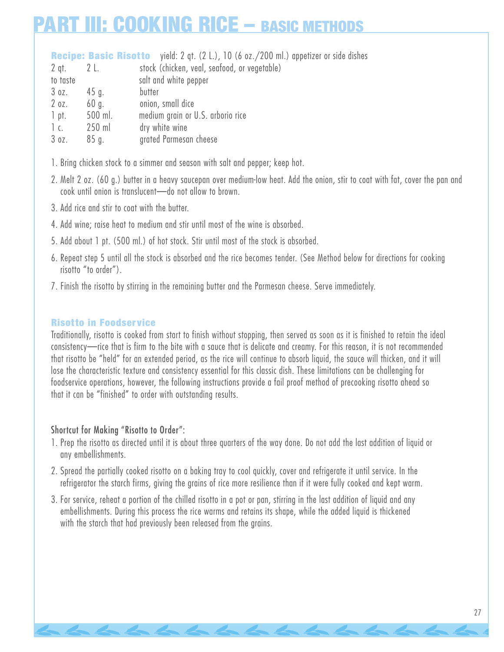# **RT III: COOKING RICE – BASIC M**

#### **Recipe: Basic Risotto** yield: 2 qt. (2 L.), 10 (6 oz./200 ml.) appetizer or side dishes

| 2 gt.       | 2 L.    | stock (chicken, veal, seafood, or vegetable) |
|-------------|---------|----------------------------------------------|
| to taste    |         | salt and white pepper                        |
| $30z$ .     | $45$ g. | butter                                       |
| $2$ oz.     | $60$ g. | onion, small dice                            |
| 1 pt.       | 500 ml. | medium grain or U.S. arborio rice            |
| $\lceil$ c. | 250 ml  | dry white wine                               |
| 30Z.        | $85$ g. | grated Parmesan cheese                       |
|             |         |                                              |

- 1. Bring chicken stock to a simmer and season with salt and pepper; keep hot.
- 2. Melt 2 oz. (60 g.) butter in a heavy saucepan over medium-low heat. Add the onion, stir to coat with fat, cover the pan and cook until onion is translucent—do not allow to brown.
- 3. Add rice and stir to coat with the butter.
- 4. Add wine; raise heat to medium and stir until most of the wine is absorbed.
- 5. Add about 1 pt. (500 ml.) of hot stock. Stir until most of the stock is absorbed.
- 6. Repeat step 5 until all the stock is absorbed and the rice becomes tender. (See Method below for directions for cooking risotto "to order").
- 7. Finish the risotto by stirring in the remaining butter and the Parmesan cheese. Serve immediately.

# **Risotto in Foodser vice**

Traditionally, risotto is cooked from start to finish without stopping, then served as soon as it is finished to retain the ideal consistency—rice that is firm to the bite with a sauce that is delicate and creamy. For this reason, it is not recommended that risotto be "held" for an extended period, as the rice will continue to absorb liquid, the sauce will thicken, and it will lose the characteristic texture and consistency essential for this classic dish. These limitations can be challenging for foodservice operations, however, the following instructions provide a fail proof method of precooking risotto ahead so that it can be "finished" to order with outstanding results.

# Shortcut for Making "Risotto to Order":

- 1. Prep the risotto as directed until it is about three quarters of the way done. Do not add the last addition of liquid or any embellishments.
- 2. Spread the partially cooked risotto on a baking tray to cool quickly, cover and refrigerate it until service. In the refrigerator the starch firms, giving the grains of rice more resilience than if it were fully cooked and kept warm.
- 3. For service, reheat a portion of the chilled risotto in a pot or pan, stirring in the last addition of liquid and any embellishments. During this process the rice warms and retains its shape, while the added liquid is thickened with the starch that had previously been released from the grains.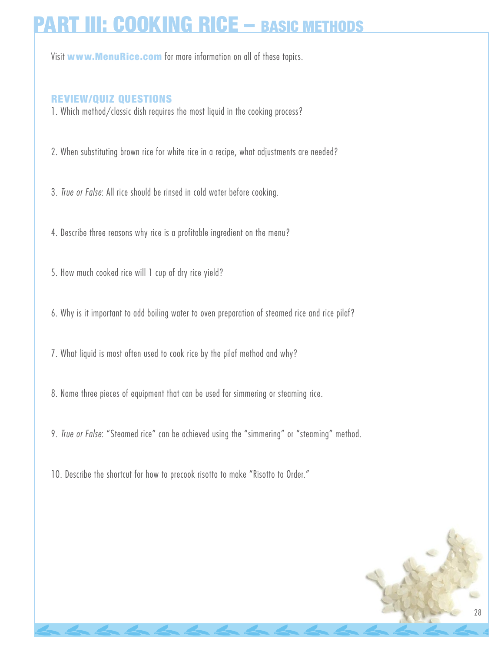# **PARTILE:** COOKING RICE – **BASIC** MET

Visit **www.MenuRice.com** for more information on all of these topics.

### **REVIEW/QUIZ QUESTIONS**

1. Which method/classic dish requires the most liquid in the cooking process?

2. When substituting brown rice for white rice in a recipe, what adjustments are needed?

3. *True or False*: All rice should be rinsed in cold water before cooking.

4. Describe three reasons why rice is a profitable ingredient on the menu?

5. How much cooked rice will 1 cup of dry rice yield?

6. Why is it important to add boiling water to oven preparation of steamed rice and rice pilaf?

7. What liquid is most often used to cook rice by the pilaf method and why?

8. Name three pieces of equipment that can be used for simmering or steaming rice.

9. *True or False*: "Steamed rice" can be achieved using the "simmering" or "steaming" method.

10. Describe the shortcut for how to precook risotto to make "Risotto to Order."